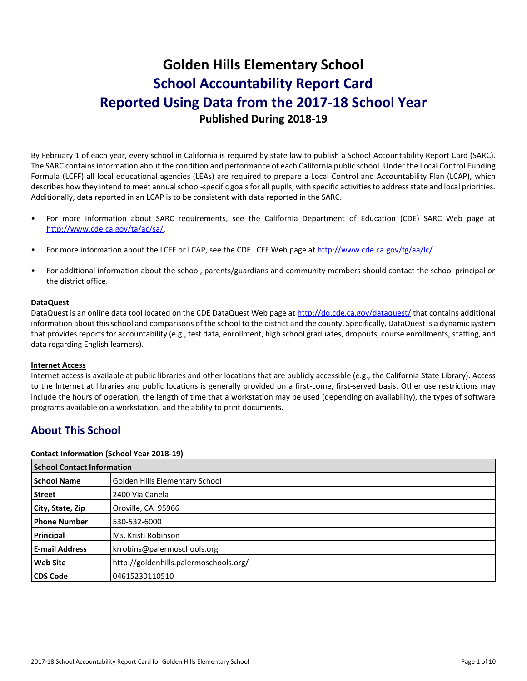# **Golden Hills Elementary School School Accountability Report Card Reported Using Data from the 2017-18 School Year Published During 2018-19**

By February 1 of each year, every school in California is required by state law to publish a School Accountability Report Card (SARC). The SARC contains information about the condition and performance of each California public school. Under the Local Control Funding Formula (LCFF) all local educational agencies (LEAs) are required to prepare a Local Control and Accountability Plan (LCAP), which describes how they intend to meet annual school-specific goals for all pupils, with specific activities to address state and local priorities. Additionally, data reported in an LCAP is to be consistent with data reported in the SARC.

- For more information about SARC requirements, see the California Department of Education (CDE) SARC Web page at [http://www.cde.ca.gov/ta/ac/sa/.](http://www.cde.ca.gov/ta/ac/sa/)
- For more information about the LCFF or LCAP, see the CDE LCFF Web page at [http://www.cde.ca.gov/fg/aa/lc/.](http://www.cde.ca.gov/fg/aa/lc/)
- For additional information about the school, parents/guardians and community members should contact the school principal or the district office.

# **DataQuest**

DataQuest is an online data tool located on the CDE DataQuest Web page a[t http://dq.cde.ca.gov/dataquest/](http://dq.cde.ca.gov/dataquest/) that contains additional information about this school and comparisons of the school to the district and the county. Specifically, DataQuest is a dynamic system that provides reports for accountability (e.g., test data, enrollment, high school graduates, dropouts, course enrollments, staffing, and data regarding English learners).

#### **Internet Access**

Internet access is available at public libraries and other locations that are publicly accessible (e.g., the California State Library). Access to the Internet at libraries and public locations is generally provided on a first-come, first-served basis. Other use restrictions may include the hours of operation, the length of time that a workstation may be used (depending on availability), the types of software programs available on a workstation, and the ability to print documents.

# **About This School**

#### **Contact Information (School Year 2018-19)**

| <b>School Contact Information</b> |                                        |  |
|-----------------------------------|----------------------------------------|--|
| <b>School Name</b>                | Golden Hills Elementary School         |  |
| <b>Street</b>                     | 2400 Via Canela                        |  |
| City, State, Zip                  | Oroville, CA 95966                     |  |
| <b>Phone Number</b>               | 530-532-6000                           |  |
| Principal                         | Ms. Kristi Robinson                    |  |
| <b>E-mail Address</b>             | krrobins@palermoschools.org            |  |
| <b>Web Site</b>                   | http://goldenhills.palermoschools.org/ |  |
| <b>CDS Code</b>                   | 04615230110510                         |  |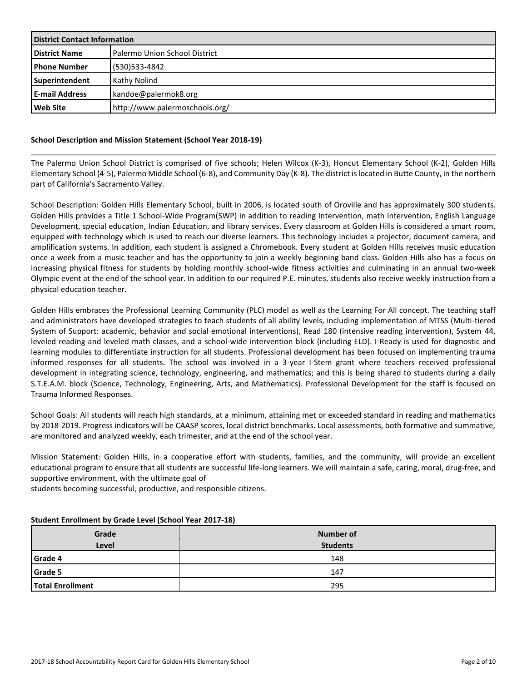| <b>District Contact Information</b> |                                      |  |
|-------------------------------------|--------------------------------------|--|
| <b>District Name</b>                | <b>Palermo Union School District</b> |  |
| <b>Phone Number</b>                 | (530) 533-4842                       |  |
| Superintendent                      | Kathy Nolind                         |  |
| <b>E-mail Address</b>               | kandoe@palermok8.org                 |  |
| Web Site                            | http://www.palermoschools.org/       |  |

# **School Description and Mission Statement (School Year 2018-19)**

The Palermo Union School District is comprised of five schools; Helen Wilcox (K-3), Honcut Elementary School (K-2), Golden Hills Elementary School (4-5), Palermo Middle School (6-8), and Community Day (K-8). The district is located in Butte County, in the northern part of California's Sacramento Valley.

School Description: Golden Hills Elementary School, built in 2006, is located south of Oroville and has approximately 300 students. Golden Hills provides a Title 1 School-Wide Program(SWP) in addition to reading Intervention, math Intervention, English Language Development, special education, Indian Education, and library services. Every classroom at Golden Hills is considered a smart room, equipped with technology which is used to reach our diverse learners. This technology includes a projector, document camera, and amplification systems. In addition, each student is assigned a Chromebook. Every student at Golden Hills receives music education once a week from a music teacher and has the opportunity to join a weekly beginning band class. Golden Hills also has a focus on increasing physical fitness for students by holding monthly school-wide fitness activities and culminating in an annual two-week Olympic event at the end of the school year. In addition to our required P.E. minutes, students also receive weekly instruction from a physical education teacher.

Golden Hills embraces the Professional Learning Community (PLC) model as well as the Learning For All concept. The teaching staff and administrators have developed strategies to teach students of all ability levels, including implementation of MTSS (Multi-tiered System of Support: academic, behavior and social emotional interventions), Read 180 (intensive reading intervention), System 44, leveled reading and leveled math classes, and a school-wide intervention block (including ELD). I-Ready is used for diagnostic and learning modules to differentiate instruction for all students. Professional development has been focused on implementing trauma informed responses for all students. The school was involved in a 3-year I-Stem grant where teachers received professional development in integrating science, technology, engineering, and mathematics; and this is being shared to students during a daily S.T.E.A.M. block (Science, Technology, Engineering, Arts, and Mathematics). Professional Development for the staff is focused on Trauma Informed Responses.

School Goals: All students will reach high standards, at a minimum, attaining met or exceeded standard in reading and mathematics by 2018-2019. Progress indicators will be CAASP scores, local district benchmarks. Local assessments, both formative and summative, are monitored and analyzed weekly, each trimester, and at the end of the school year.

Mission Statement: Golden Hills, in a cooperative effort with students, families, and the community, will provide an excellent educational program to ensure that all students are successful life-long learners. We will maintain a safe, caring, moral, drug-free, and supportive environment, with the ultimate goal of

students becoming successful, productive, and responsible citizens.

| Grade<br>Level          | <b>Number of</b><br><b>Students</b> |
|-------------------------|-------------------------------------|
| Grade 4                 | 148                                 |
| <b>Grade 5</b>          | 147                                 |
| <b>Total Enrollment</b> | 295                                 |

# **Student Enrollment by Grade Level (School Year 2017-18)**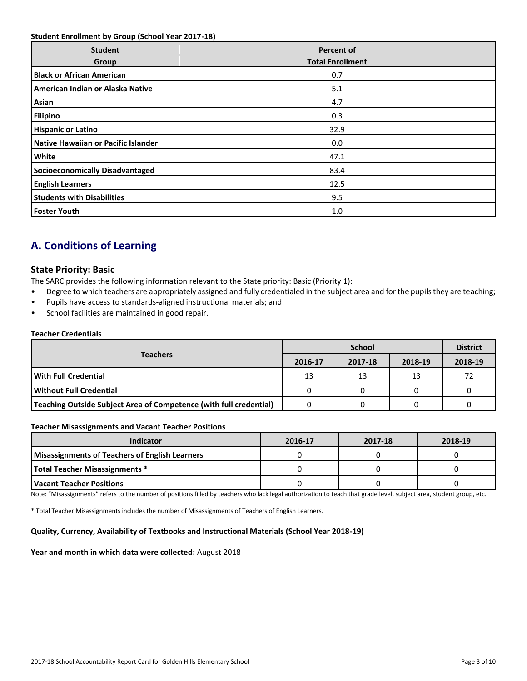### **Student Enrollment by Group (School Year 2017-18)**

| <b>Student</b><br>Group                | <b>Percent of</b><br><b>Total Enrollment</b> |
|----------------------------------------|----------------------------------------------|
| <b>Black or African American</b>       | 0.7                                          |
| American Indian or Alaska Native       | 5.1                                          |
| Asian                                  | 4.7                                          |
| <b>Filipino</b>                        | 0.3                                          |
| <b>Hispanic or Latino</b>              | 32.9                                         |
| Native Hawaiian or Pacific Islander    | 0.0                                          |
| White                                  | 47.1                                         |
| <b>Socioeconomically Disadvantaged</b> | 83.4                                         |
| <b>English Learners</b>                | 12.5                                         |
| <b>Students with Disabilities</b>      | 9.5                                          |
| <b>Foster Youth</b>                    | 1.0                                          |

# **A. Conditions of Learning**

# **State Priority: Basic**

The SARC provides the following information relevant to the State priority: Basic (Priority 1):

- Degree to which teachers are appropriately assigned and fully credentialed in the subject area and for the pupils they are teaching;
- Pupils have access to standards-aligned instructional materials; and
- School facilities are maintained in good repair.

### **Teacher Credentials**

|                                                                    |         | <b>District</b> |         |         |
|--------------------------------------------------------------------|---------|-----------------|---------|---------|
| <b>Teachers</b>                                                    | 2016-17 | 2017-18         | 2018-19 | 2018-19 |
| l With Full Credential                                             | 13      | 13              | 13      | 72      |
| l Without Full Credential                                          |         |                 |         |         |
| Teaching Outside Subject Area of Competence (with full credential) |         |                 |         |         |

#### **Teacher Misassignments and Vacant Teacher Positions**

| <b>Indicator</b>                                      | 2016-17 | 2017-18 | 2018-19 |
|-------------------------------------------------------|---------|---------|---------|
| <b>Misassignments of Teachers of English Learners</b> |         |         |         |
| Total Teacher Misassignments *                        |         |         |         |
| l Vacant Teacher Positions                            |         |         |         |

Note: "Misassignments" refers to the number of positions filled by teachers who lack legal authorization to teach that grade level, subject area, student group, etc.

\* Total Teacher Misassignments includes the number of Misassignments of Teachers of English Learners.

#### **Quality, Currency, Availability of Textbooks and Instructional Materials (School Year 2018-19)**

#### **Year and month in which data were collected:** August 2018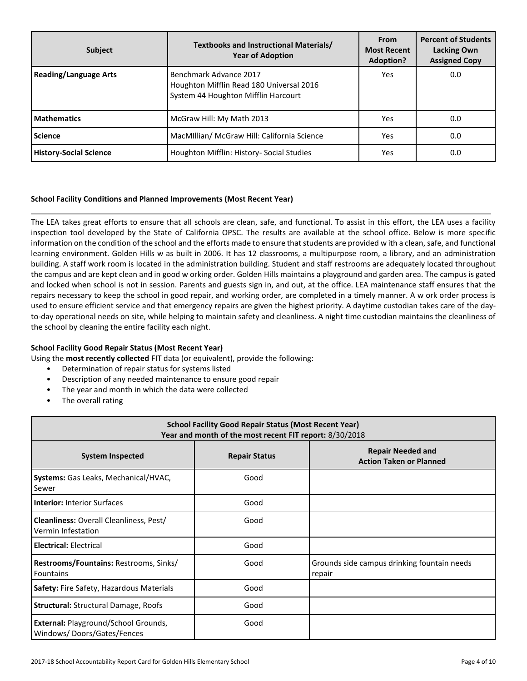| <b>Subject</b>                | <b>Textbooks and Instructional Materials/</b><br><b>Year of Adoption</b>                                  | <b>From</b><br><b>Most Recent</b><br>Adoption? | <b>Percent of Students</b><br><b>Lacking Own</b><br><b>Assigned Copy</b> |
|-------------------------------|-----------------------------------------------------------------------------------------------------------|------------------------------------------------|--------------------------------------------------------------------------|
| <b>Reading/Language Arts</b>  | Benchmark Advance 2017<br>Houghton Mifflin Read 180 Universal 2016<br>System 44 Houghton Mifflin Harcourt | Yes                                            | 0.0                                                                      |
| <b>Mathematics</b>            | McGraw Hill: My Math 2013                                                                                 | Yes                                            | 0.0                                                                      |
| <b>Science</b>                | MacMillian/ McGraw Hill: California Science                                                               | Yes                                            | 0.0                                                                      |
| <b>History-Social Science</b> | Houghton Mifflin: History- Social Studies                                                                 | Yes                                            | 0.0                                                                      |

# **School Facility Conditions and Planned Improvements (Most Recent Year)**

The LEA takes great efforts to ensure that all schools are clean, safe, and functional. To assist in this effort, the LEA uses a facility inspection tool developed by the State of California OPSC. The results are available at the school office. Below is more specific information on the condition of the school and the efforts made to ensure that students are provided w ith a clean, safe, and functional learning environment. Golden Hills w as built in 2006. It has 12 classrooms, a multipurpose room, a library, and an administration building. A staff work room is located in the administration building. Student and staff restrooms are adequately located throughout the campus and are kept clean and in good w orking order. Golden Hills maintains a playground and garden area. The campus is gated and locked when school is not in session. Parents and guests sign in, and out, at the office. LEA maintenance staff ensures that the repairs necessary to keep the school in good repair, and working order, are completed in a timely manner. A w ork order process is used to ensure efficient service and that emergency repairs are given the highest priority. A daytime custodian takes care of the dayto-day operational needs on site, while helping to maintain safety and cleanliness. A night time custodian maintains the cleanliness of the school by cleaning the entire facility each night.

# **School Facility Good Repair Status (Most Recent Year)**

Using the **most recently collected** FIT data (or equivalent), provide the following:

- Determination of repair status for systems listed
- Description of any needed maintenance to ensure good repair
- The year and month in which the data were collected
- The overall rating

| <b>School Facility Good Repair Status (Most Recent Year)</b><br>Year and month of the most recent FIT report: 8/30/2018 |                      |                                                            |  |  |  |
|-------------------------------------------------------------------------------------------------------------------------|----------------------|------------------------------------------------------------|--|--|--|
| <b>System Inspected</b>                                                                                                 | <b>Repair Status</b> | <b>Repair Needed and</b><br><b>Action Taken or Planned</b> |  |  |  |
| Systems: Gas Leaks, Mechanical/HVAC,<br>Sewer                                                                           | Good                 |                                                            |  |  |  |
| <b>Interior: Interior Surfaces</b>                                                                                      | Good                 |                                                            |  |  |  |
| <b>Cleanliness: Overall Cleanliness, Pest/</b><br>Vermin Infestation                                                    | Good                 |                                                            |  |  |  |
| <b>Electrical: Electrical</b>                                                                                           | Good                 |                                                            |  |  |  |
| Restrooms/Fountains: Restrooms, Sinks/<br><b>Fountains</b>                                                              | Good                 | Grounds side campus drinking fountain needs<br>repair      |  |  |  |
| Safety: Fire Safety, Hazardous Materials                                                                                | Good                 |                                                            |  |  |  |
| <b>Structural: Structural Damage, Roofs</b>                                                                             | Good                 |                                                            |  |  |  |
| External: Playground/School Grounds,<br>Windows/Doors/Gates/Fences                                                      | Good                 |                                                            |  |  |  |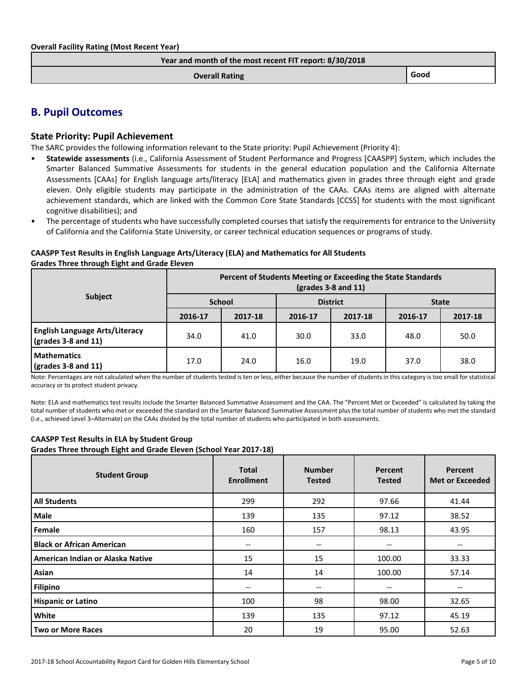| Year and month of the most recent FIT report: 8/30/2018 |      |
|---------------------------------------------------------|------|
| <b>Overall Rating</b>                                   | Good |

# **B. Pupil Outcomes**

# **State Priority: Pupil Achievement**

The SARC provides the following information relevant to the State priority: Pupil Achievement (Priority 4):

- **Statewide assessments** (i.e., California Assessment of Student Performance and Progress [CAASPP] System, which includes the Smarter Balanced Summative Assessments for students in the general education population and the California Alternate Assessments [CAAs] for English language arts/literacy [ELA] and mathematics given in grades three through eight and grade eleven. Only eligible students may participate in the administration of the CAAs. CAAs items are aligned with alternate achievement standards, which are linked with the Common Core State Standards [CCSS] for students with the most significant cognitive disabilities); and
- The percentage of students who have successfully completed courses that satisfy the requirements for entrance to the University of California and the California State University, or career technical education sequences or programs of study.

# **CAASPP Test Results in English Language Arts/Literacy (ELA) and Mathematics for All Students Grades Three through Eight and Grade Eleven**

|                                                                      | Percent of Students Meeting or Exceeding the State Standards<br>$\left(\frac{\text{grades}}{3} - 8\right)$ and 11) |         |                 |         |              |         |  |
|----------------------------------------------------------------------|--------------------------------------------------------------------------------------------------------------------|---------|-----------------|---------|--------------|---------|--|
| <b>Subject</b>                                                       | <b>School</b>                                                                                                      |         | <b>District</b> |         | <b>State</b> |         |  |
|                                                                      | 2016-17                                                                                                            | 2017-18 | 2016-17         | 2017-18 | 2016-17      | 2017-18 |  |
| <b>English Language Arts/Literacy</b><br>$\sqrt{grades}$ 3-8 and 11) | 34.0                                                                                                               | 41.0    | 30.0            | 33.0    | 48.0         | 50.0    |  |
| <b>Mathematics</b><br>$\sqrt{\frac{1}{2}}$ (grades 3-8 and 11)       | 17.0                                                                                                               | 24.0    | 16.0            | 19.0    | 37.0         | 38.0    |  |

Note: Percentages are not calculated when the number of students tested is ten or less, either because the number of students in this category is too small for statistical accuracy or to protect student privacy.

Note: ELA and mathematics test results include the Smarter Balanced Summative Assessment and the CAA. The "Percent Met or Exceeded" is calculated by taking the total number of students who met or exceeded the standard on the Smarter Balanced Summative Assessment plus the total number of students who met the standard (i.e., achieved Level 3–Alternate) on the CAAs divided by the total number of students who participated in both assessments.

# **CAASPP Test Results in ELA by Student Group**

**Grades Three through Eight and Grade Eleven (School Year 2017-18)**

| <b>Student Group</b>             | <b>Total</b><br><b>Enrollment</b> | <b>Number</b><br><b>Tested</b>      | Percent<br><b>Tested</b> | Percent<br><b>Met or Exceeded</b> |
|----------------------------------|-----------------------------------|-------------------------------------|--------------------------|-----------------------------------|
| <b>All Students</b>              | 299                               | 292                                 | 97.66                    | 41.44                             |
| <b>Male</b>                      | 139                               | 135                                 | 97.12                    | 38.52                             |
| Female                           | 160                               | 157                                 | 98.13                    | 43.95                             |
| <b>Black or African American</b> | $\overline{\phantom{a}}$          | $\hspace{0.05cm}$ $\hspace{0.05cm}$ | --                       | --                                |
| American Indian or Alaska Native | 15                                | 15                                  | 100.00                   | 33.33                             |
| Asian                            | 14                                | 14                                  | 100.00                   | 57.14                             |
| <b>Filipino</b>                  | $- -$                             | --                                  | --                       | --                                |
| <b>Hispanic or Latino</b>        | 100                               | 98                                  | 98.00                    | 32.65                             |
| White                            | 139                               | 135                                 | 97.12                    | 45.19                             |
| <b>Two or More Races</b>         | 20                                | 19                                  | 95.00                    | 52.63                             |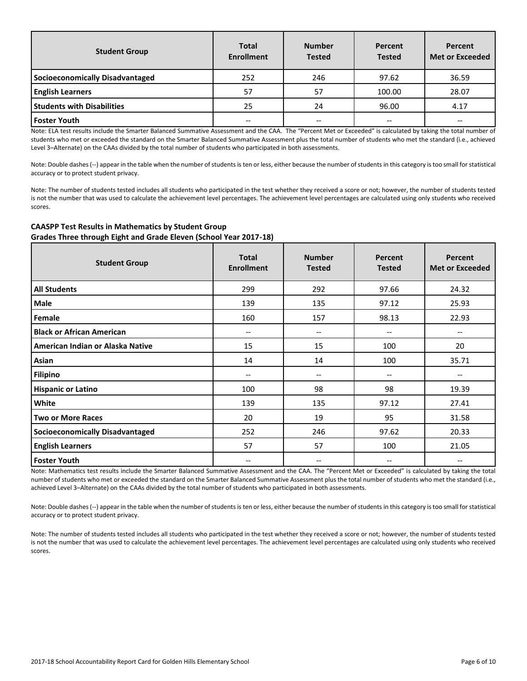| <b>Student Group</b>              | <b>Total</b><br><b>Enrollment</b> | <b>Number</b><br><b>Tested</b> | Percent<br><b>Tested</b> | Percent<br><b>Met or Exceeded</b> |
|-----------------------------------|-----------------------------------|--------------------------------|--------------------------|-----------------------------------|
| Socioeconomically Disadvantaged   | 252                               | 246                            | 97.62                    | 36.59                             |
| <b>English Learners</b>           | 57                                | 57                             | 100.00                   | 28.07                             |
| <b>Students with Disabilities</b> | 25                                | 24                             | 96.00                    | 4.17                              |
| <b>Foster Youth</b>               | --                                | --                             | --                       |                                   |

Note: ELA test results include the Smarter Balanced Summative Assessment and the CAA. The "Percent Met or Exceeded" is calculated by taking the total number of students who met or exceeded the standard on the Smarter Balanced Summative Assessment plus the total number of students who met the standard (i.e., achieved Level 3–Alternate) on the CAAs divided by the total number of students who participated in both assessments.

Note: Double dashes (--) appear in the table when the number of students is ten or less, either because the number of students in this category is too small for statistical accuracy or to protect student privacy.

Note: The number of students tested includes all students who participated in the test whether they received a score or not; however, the number of students tested is not the number that was used to calculate the achievement level percentages. The achievement level percentages are calculated using only students who received scores.

### **CAASPP Test Results in Mathematics by Student Group Grades Three through Eight and Grade Eleven (School Year 2017-18)**

| <b>Student Group</b>                   | <b>Total</b><br><b>Enrollment</b> | <b>Number</b><br><b>Tested</b>        | Percent<br><b>Tested</b> | Percent<br><b>Met or Exceeded</b> |
|----------------------------------------|-----------------------------------|---------------------------------------|--------------------------|-----------------------------------|
| <b>All Students</b>                    | 299                               | 292                                   | 97.66                    | 24.32                             |
| <b>Male</b>                            | 139                               | 135                                   | 97.12                    | 25.93                             |
| Female                                 | 160                               | 157                                   | 98.13                    | 22.93                             |
| <b>Black or African American</b>       | $\overline{\phantom{m}}$          | $-\!$ $\!-$                           | $\overline{\phantom{m}}$ | --                                |
| American Indian or Alaska Native       | 15                                | 15                                    | 100                      | 20                                |
| Asian                                  | 14                                | 14                                    | 100                      | 35.71                             |
| <b>Filipino</b>                        | --                                | $\hspace{0.05cm}$ – $\hspace{0.05cm}$ | $\overline{\phantom{m}}$ | --                                |
| <b>Hispanic or Latino</b>              | 100                               | 98                                    | 98                       | 19.39                             |
| White                                  | 139                               | 135                                   | 97.12                    | 27.41                             |
| <b>Two or More Races</b>               | 20                                | 19                                    | 95                       | 31.58                             |
| <b>Socioeconomically Disadvantaged</b> | 252                               | 246                                   | 97.62                    | 20.33                             |
| <b>English Learners</b>                | 57                                | 57                                    | 100                      | 21.05                             |
| <b>Foster Youth</b>                    | --                                | $\hspace{0.05cm}$ – $\hspace{0.05cm}$ | $\overline{\phantom{m}}$ |                                   |

Note: Mathematics test results include the Smarter Balanced Summative Assessment and the CAA. The "Percent Met or Exceeded" is calculated by taking the total number of students who met or exceeded the standard on the Smarter Balanced Summative Assessment plus the total number of students who met the standard (i.e., achieved Level 3–Alternate) on the CAAs divided by the total number of students who participated in both assessments.

Note: Double dashes (--) appear in the table when the number of students is ten or less, either because the number of students in this category is too small for statistical accuracy or to protect student privacy.

Note: The number of students tested includes all students who participated in the test whether they received a score or not; however, the number of students tested is not the number that was used to calculate the achievement level percentages. The achievement level percentages are calculated using only students who received scores.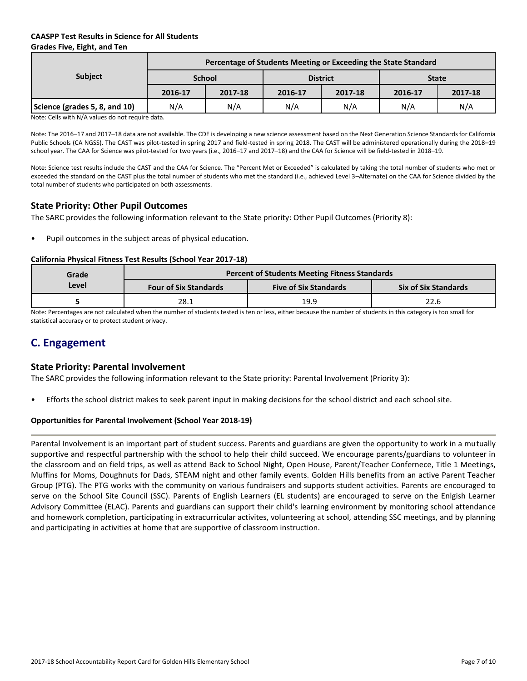# **CAASPP Test Results in Science for All Students Grades Five, Eight, and Ten**

| <b>State</b> |  |
|--------------|--|
| 2017-18      |  |
| N/A          |  |
| 2016-17      |  |

Note: Cells with N/A values do not require data.

Note: The 2016–17 and 2017–18 data are not available. The CDE is developing a new science assessment based on the Next Generation Science Standards for California Public Schools (CA NGSS). The CAST was pilot-tested in spring 2017 and field-tested in spring 2018. The CAST will be administered operationally during the 2018–19 school year. The CAA for Science was pilot-tested for two years (i.e., 2016–17 and 2017–18) and the CAA for Science will be field-tested in 2018–19.

Note: Science test results include the CAST and the CAA for Science. The "Percent Met or Exceeded" is calculated by taking the total number of students who met or exceeded the standard on the CAST plus the total number of students who met the standard (i.e., achieved Level 3–Alternate) on the CAA for Science divided by the total number of students who participated on both assessments.

# **State Priority: Other Pupil Outcomes**

The SARC provides the following information relevant to the State priority: Other Pupil Outcomes (Priority 8):

Pupil outcomes in the subject areas of physical education.

### **California Physical Fitness Test Results (School Year 2017-18)**

| Grade | <b>Percent of Students Meeting Fitness Standards</b> |                              |                             |  |  |  |  |  |
|-------|------------------------------------------------------|------------------------------|-----------------------------|--|--|--|--|--|
| Level | <b>Four of Six Standards</b>                         | <b>Five of Six Standards</b> | <b>Six of Six Standards</b> |  |  |  |  |  |
|       | 28.1                                                 | 19.9                         | 22.6                        |  |  |  |  |  |

Note: Percentages are not calculated when the number of students tested is ten or less, either because the number of students in this category is too small for statistical accuracy or to protect student privacy.

# **C. Engagement**

# **State Priority: Parental Involvement**

The SARC provides the following information relevant to the State priority: Parental Involvement (Priority 3):

• Efforts the school district makes to seek parent input in making decisions for the school district and each school site.

#### **Opportunities for Parental Involvement (School Year 2018-19)**

Parental Involvement is an important part of student success. Parents and guardians are given the opportunity to work in a mutually supportive and respectful partnership with the school to help their child succeed. We encourage parents/guardians to volunteer in the classroom and on field trips, as well as attend Back to School Night, Open House, Parent/Teacher Confernece, Title 1 Meetings, Muffins for Moms, Doughnuts for Dads, STEAM night and other family events. Golden Hills benefits from an active Parent Teacher Group (PTG). The PTG works with the community on various fundraisers and supports student activities. Parents are encouraged to serve on the School Site Council (SSC). Parents of English Learners (EL students) are encouraged to serve on the Enlgish Learner Advisory Committee (ELAC). Parents and guardians can support their child's learning environment by monitoring school attendance and homework completion, participating in extracurricular activites, volunteering at school, attending SSC meetings, and by planning and participating in activities at home that are supportive of classroom instruction.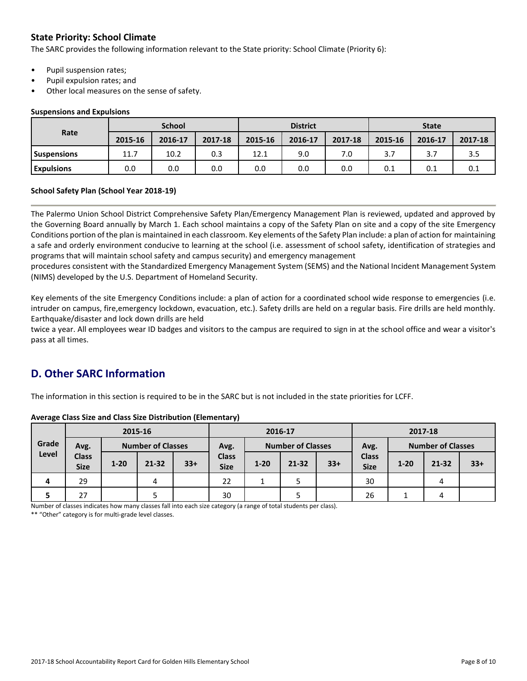# **State Priority: School Climate**

The SARC provides the following information relevant to the State priority: School Climate (Priority 6):

- Pupil suspension rates;
- Pupil expulsion rates; and
- Other local measures on the sense of safety.

#### **Suspensions and Expulsions**

|                    | <b>School</b> |         |         | <b>District</b> |         |         | <b>State</b> |         |         |
|--------------------|---------------|---------|---------|-----------------|---------|---------|--------------|---------|---------|
| Rate               | 2015-16       | 2016-17 | 2017-18 | 2015-16         | 2016-17 | 2017-18 | 2015-16      | 2016-17 | 2017-18 |
| <b>Suspensions</b> | 11.7          | 10.2    | 0.3     | 12.1            | 9.0     | 7.0     | 3.7          |         | 3.5     |
| <b>Expulsions</b>  | 0.0           | 0.0     | 0.0     | 0.0             | 0.0     | 0.0     | 0.1          | 0.1     | 0.1     |

#### **School Safety Plan (School Year 2018-19)**

The Palermo Union School District Comprehensive Safety Plan/Emergency Management Plan is reviewed, updated and approved by the Governing Board annually by March 1. Each school maintains a copy of the Safety Plan on site and a copy of the site Emergency Conditions portion of the plan is maintained in each classroom. Key elements of the Safety Plan include: a plan of action for maintaining a safe and orderly environment conducive to learning at the school (i.e. assessment of school safety, identification of strategies and programs that will maintain school safety and campus security) and emergency management

procedures consistent with the Standardized Emergency Management System (SEMS) and the National Incident Management System (NIMS) developed by the U.S. Department of Homeland Security.

Key elements of the site Emergency Conditions include: a plan of action for a coordinated school wide response to emergencies (i.e. intruder on campus, fire,emergency lockdown, evacuation, etc.). Safety drills are held on a regular basis. Fire drills are held monthly. Earthquake/disaster and lock down drills are held

twice a year. All employees wear ID badges and visitors to the campus are required to sign in at the school office and wear a visitor's pass at all times.

# **D. Other SARC Information**

The information in this section is required to be in the SARC but is not included in the state priorities for LCFF.

|       |                             |          | 2015-16                  |       | 2016-17                     |          |                          | 2017-18 |                             |          |                          |       |
|-------|-----------------------------|----------|--------------------------|-------|-----------------------------|----------|--------------------------|---------|-----------------------------|----------|--------------------------|-------|
| Grade | Avg.                        |          | <b>Number of Classes</b> |       | Avg.                        |          | <b>Number of Classes</b> |         | Avg.                        |          | <b>Number of Classes</b> |       |
| Level | <b>Class</b><br><b>Size</b> | $1 - 20$ | $21 - 32$                | $33+$ | <b>Class</b><br><b>Size</b> | $1 - 20$ | $21 - 32$                | $33+$   | <b>Class</b><br><b>Size</b> | $1 - 20$ | 21-32                    | $33+$ |
| 4     | 29                          |          | 4                        |       | 22                          | ∸        |                          |         | 30                          |          | 4                        |       |
| 5     | 27                          |          |                          |       | 30                          |          |                          |         | 26                          |          | 4                        |       |

**Average Class Size and Class Size Distribution (Elementary)**

Number of classes indicates how many classes fall into each size category (a range of total students per class).

\*\* "Other" category is for multi-grade level classes.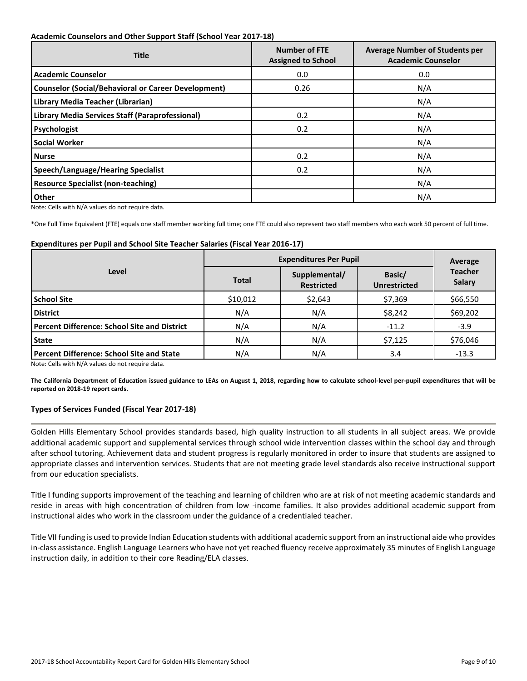### **Academic Counselors and Other Support Staff (School Year 2017-18)**

| <b>Title</b>                                               | <b>Number of FTE</b><br><b>Assigned to School</b> | <b>Average Number of Students per</b><br><b>Academic Counselor</b> |
|------------------------------------------------------------|---------------------------------------------------|--------------------------------------------------------------------|
| <b>Academic Counselor</b>                                  | 0.0                                               | 0.0                                                                |
| <b>Counselor (Social/Behavioral or Career Development)</b> | 0.26                                              | N/A                                                                |
| Library Media Teacher (Librarian)                          |                                                   | N/A                                                                |
| Library Media Services Staff (Paraprofessional)            | 0.2                                               | N/A                                                                |
| Psychologist                                               | 0.2                                               | N/A                                                                |
| <b>Social Worker</b>                                       |                                                   | N/A                                                                |
| <b>Nurse</b>                                               | 0.2                                               | N/A                                                                |
| <b>Speech/Language/Hearing Specialist</b>                  | 0.2                                               | N/A                                                                |
| <b>Resource Specialist (non-teaching)</b>                  |                                                   | N/A                                                                |
| <b>Other</b>                                               |                                                   | N/A                                                                |

Note: Cells with N/A values do not require data.

\*One Full Time Equivalent (FTE) equals one staff member working full time; one FTE could also represent two staff members who each work 50 percent of full time.

#### **Expenditures per Pupil and School Site Teacher Salaries (Fiscal Year 2016-17)**

|                                                     | <b>Expenditures Per Pupil</b> | Average                            |         |                                 |  |
|-----------------------------------------------------|-------------------------------|------------------------------------|---------|---------------------------------|--|
| Level                                               | <b>Total</b>                  | Supplemental/<br><b>Restricted</b> |         | <b>Teacher</b><br><b>Salary</b> |  |
| <b>School Site</b>                                  | \$10,012                      | \$2,643                            | \$7,369 | \$66,550                        |  |
| <b>District</b>                                     | N/A                           | N/A                                | \$8,242 | \$69,202                        |  |
| <b>Percent Difference: School Site and District</b> | N/A                           | N/A                                | $-11.2$ | $-3.9$                          |  |
| <b>State</b>                                        | N/A                           | N/A                                | \$7,125 | \$76,046                        |  |
| <b>Percent Difference: School Site and State</b>    | N/A                           | N/A                                | 3.4     | $-13.3$                         |  |

Note: Cells with N/A values do not require data.

**The California Department of Education issued guidance to LEAs on August 1, 2018, regarding how to calculate school-level per-pupil expenditures that will be reported on 2018-19 report cards.**

# **Types of Services Funded (Fiscal Year 2017-18)**

Golden Hills Elementary School provides standards based, high quality instruction to all students in all subject areas. We provide additional academic support and supplemental services through school wide intervention classes within the school day and through after school tutoring. Achievement data and student progress is regularly monitored in order to insure that students are assigned to appropriate classes and intervention services. Students that are not meeting grade level standards also receive instructional support from our education specialists.

Title I funding supports improvement of the teaching and learning of children who are at risk of not meeting academic standards and reside in areas with high concentration of children from low -income families. It also provides additional academic support from instructional aides who work in the classroom under the guidance of a credentialed teacher.

Title VII funding is used to provide Indian Education students with additional academic support from an instructional aide who provides in-class assistance. English Language Learners who have not yet reached fluency receive approximately 35 minutes of English Language instruction daily, in addition to their core Reading/ELA classes.